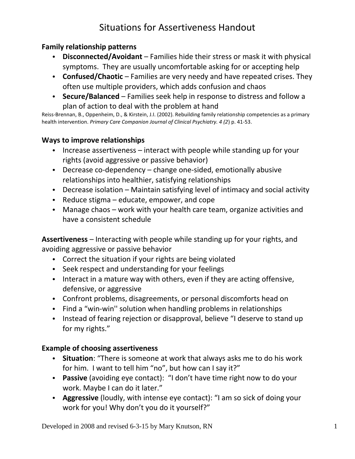### **Family relationship patterns**

- **Disconnected/Avoidant** Families hide their stress or mask it with physical symptoms. They are usually uncomfortable asking for or accepting help
- **Confused/Chaotic** Families are very needy and have repeated crises. They often use multiple providers, which adds confusion and chaos
- **Secure/Balanced** Families seek help in response to distress and follow a plan of action to deal with the problem at hand

Reiss-Brennan, B., Oppenheim, D., & Kirstein, J.I. (2002). Rebuilding family relationship competencies as a primary health intervention. *Primary Care Companion Journal of Clinical Psychiatry. 4 (2*) p. 41-53.

### **Ways to improve relationships**

- Increase assertiveness interact with people while standing up for your rights (avoid aggressive or passive behavior)
- Decrease co-dependency change one-sided, emotionally abusive relationships into healthier, satisfying relationships
- Decrease isolation Maintain satisfying level of intimacy and social activity
- Reduce stigma educate, empower, and cope
- Manage chaos work with your health care team, organize activities and have a consistent schedule

**Assertiveness** – Interacting with people while standing up for your rights, and avoiding aggressive or passive behavior

- Correct the situation if your rights are being violated
- Seek respect and understanding for your feelings
- Interact in a mature way with others, even if they are acting offensive, defensive, or aggressive
- Confront problems, disagreements, or personal discomforts head on
- Find a "win-win'' solution when handling problems in relationships
- Instead of fearing rejection or disapproval, believe "I deserve to stand up for my rights."

#### **Example of choosing assertiveness**

- **Situation**: "There is someone at work that always asks me to do his work for him. I want to tell him "no", but how can I say it?"
- **Passive** (avoiding eye contact): "I don't have time right now to do your work. Maybe I can do it later."
- **Aggressive** (loudly, with intense eye contact): "I am so sick of doing your work for you! Why don't you do it yourself?"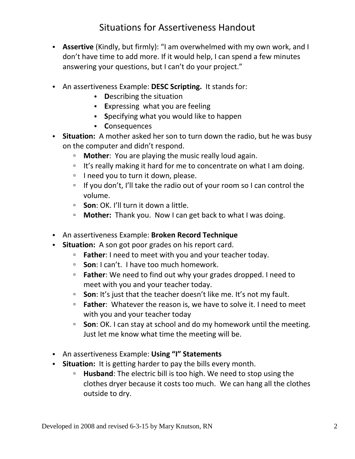- **Assertive** (Kindly, but firmly): "I am overwhelmed with my own work, and I don't have time to add more. If it would help, I can spend a few minutes answering your questions, but I can't do your project."
- An assertiveness Example: **DESC Scripting.** It stands for:
	- **D**escribing the situation
	- **E**xpressing what you are feeling
	- **S**pecifying what you would like to happen
	- **C**onsequences
- **Situation:** A mother asked her son to turn down the radio, but he was busy on the computer and didn't respond.
	- **Mother**: You are playing the music really loud again.
	- It's really making it hard for me to concentrate on what I am doing.
	- □ I need you to turn it down, please.
	- □ If you don't, I'll take the radio out of your room so I can control the volume.
	- **Son**: OK. I'll turn it down a little.
	- **Mother:** Thank you. Now I can get back to what I was doing.
- An assertiveness Example: **Broken Record Technique**
- **Situation:** A son got poor grades on his report card.
	- **Father**: I need to meet with you and your teacher today.
	- **Son**: I can't. I have too much homework.
	- **Father**: We need to find out why your grades dropped. I need to meet with you and your teacher today.
	- **Son**: It's just that the teacher doesn't like me. It's not my fault.
	- **Father**: Whatever the reason is, we have to solve it. I need to meet with you and your teacher today
	- **Son**: OK. I can stay at school and do my homework until the meeting. Just let me know what time the meeting will be.
- An assertiveness Example: **Using "I" Statements**
- **Situation:** It is getting harder to pay the bills every month.
	- **Husband:** The electric bill is too high. We need to stop using the clothes dryer because it costs too much. We can hang all the clothes outside to dry.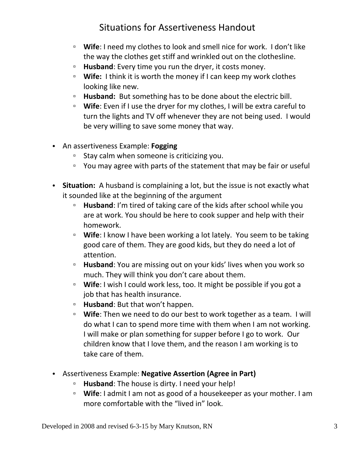- **Wife**: I need my clothes to look and smell nice for work. I don't like the way the clothes get stiff and wrinkled out on the clothesline.
- **Husband**: Every time you run the dryer, it costs money.
- **Wife:** I think it is worth the money if I can keep my work clothes looking like new.
- **Husband:** But something has to be done about the electric bill.
- **Wife**: Even if I use the dryer for my clothes, I will be extra careful to turn the lights and TV off whenever they are not being used. I would be very willing to save some money that way.
- An assertiveness Example: **Fogging**
	- Stay calm when someone is criticizing you.
	- You may agree with parts of the statement that may be fair or useful
- **Situation:** A husband is complaining a lot, but the issue is not exactly what it sounded like at the beginning of the argument
	- **Husband**: I'm tired of taking care of the kids after school while you are at work. You should be here to cook supper and help with their homework.
	- **Wife**: I know I have been working a lot lately. You seem to be taking good care of them. They are good kids, but they do need a lot of attention.
	- **Husband**: You are missing out on your kids' lives when you work so much. They will think you don't care about them.
	- **Wife**: I wish I could work less, too. It might be possible if you got a job that has health insurance.
	- **Husband**: But that won't happen.
	- **Wife**: Then we need to do our best to work together as a team. I will do what I can to spend more time with them when I am not working. I will make or plan something for supper before I go to work. Our children know that I love them, and the reason I am working is to take care of them.
- Assertiveness Example: **Negative Assertion (Agree in Part)**
	- **Husband**: The house is dirty. I need your help!
	- **Wife**: I admit I am not as good of a housekeeper as your mother. I am more comfortable with the "lived in" look.